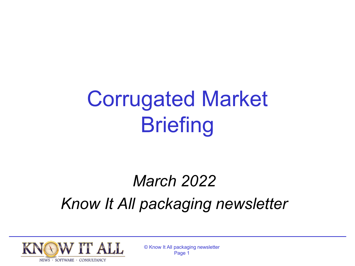# Corrugated Market **Briefing**

## *March 2022 Know It All packaging newsletter*

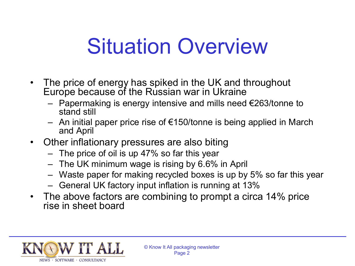# Situation Overview

- The price of energy has spiked in the UK and throughout Europe because of the Russian war in Ukraine
	- Papermaking is energy intensive and mills need €263/tonne to stand still
	- An initial paper price rise of €150/tonne is being applied in March and April
- Other inflationary pressures are also biting
	- The price of oil is up 47% so far this year
	- The UK minimum wage is rising by 6.6% in April
	- Waste paper for making recycled boxes is up by 5% so far this year
	- General UK factory input inflation is running at 13%
- The above factors are combining to prompt a circa 14% price rise in sheet board

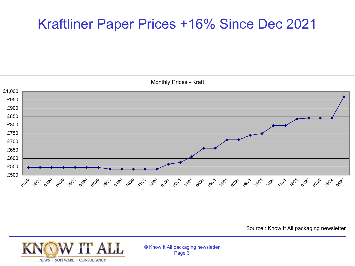## Kraftliner Paper Prices +16% Since Dec 2021



Source : Know It All packaging newsletter

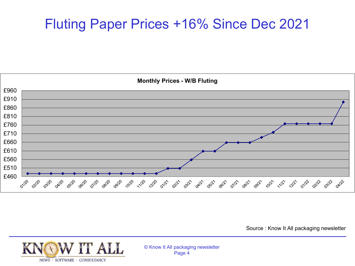## Fluting Paper Prices +16% Since Dec 2021



Source : Know It All packaging newsletter

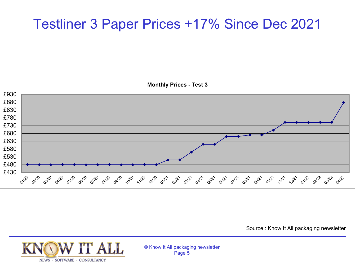### Testliner 3 Paper Prices +17% Since Dec 2021



Source : Know It All packaging newsletter

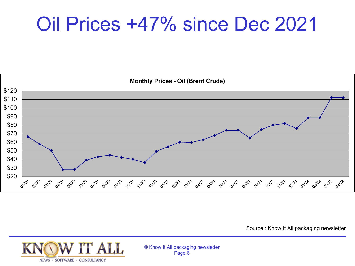## Oil Prices +47% since Dec 2021



Source : Know It All packaging newsletter

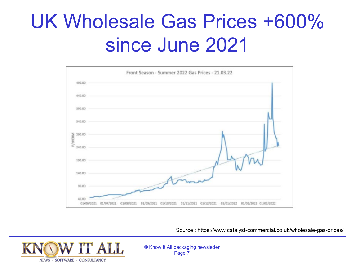## UK Wholesale Gas Prices +600% since June 2021



Source : https://www.catalyst-commercial.co.uk/wholesale-gas-prices/

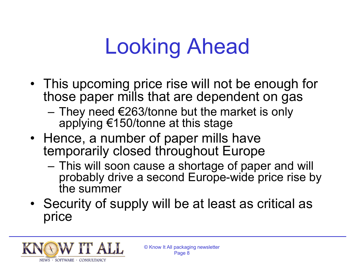# Looking Ahead

- This upcoming price rise will not be enough for those paper mills that are dependent on gas
	- $-$  They need €263/tonne but the market is only applying €150/tonne at this stage
- Hence, a number of paper mills have temporarily closed throughout Europe
	- This will soon cause a shortage of paper and will probably drive a second Europe-wide price rise by the summer
- Security of supply will be at least as critical as price

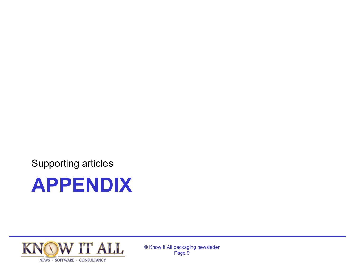Supporting articles



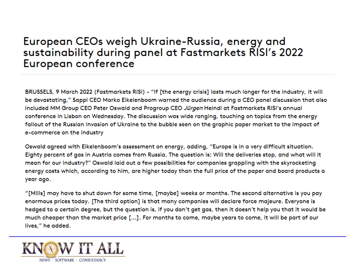#### European CEOs weigh Ukraine-Russia, energy and sustainability during panel at Fastmarkets RISI's 2022 European conference

BRUSSELS, 9 March 2022 (Fastmarkets RISI) - "If [the energy crisis] lasts much longer for the industry, it will be devastating," Sappi CEO Marko Eikelenboom warned the audience during a CEO panel discussion that also included MM Group CEO Peter Oswald and Progroup CEO Jürgen Heindl at Fastmarkets RISI's annual conference in Lisbon on Wednesday. The discussion was wide ranging, touching on topics from the energy fallout of the Russian invasion of Ukraine to the bubble seen on the graphic paper market to the impact of e-commerce on the industry

Oswald agreed with Eikelenboom's assessment on energy, adding, "Europe is in a very difficult situation. Eighty percent of gas in Austria comes from Russia. The question is: Will the deliveries stop, and what will it mean for our industry?" Oswald laid out a few possibilities for companies grappling with the skyrocketing energy costs which, according to him, are higher today than the full price of the paper and board products a year ago.

"[Mills] may have to shut down for some time, [maybe] weeks or months. The second alternative is you pay enormous prices today. [The third option] is that many companies will declare force majeure. Everyone is hedged to a certain degree, but the question is, if you don't get gas, then it doesn't help you that it would be much cheaper than the market price [...]. For months to come, maybe years to come, it will be part of our lives," he added.

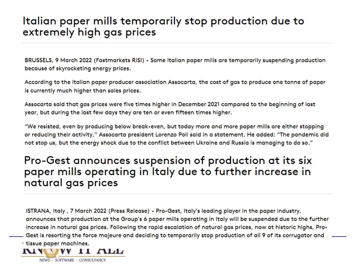#### Italian paper mills temporarily stop production due to extremely high gas prices

BRUSSELS, 9 March 2022 (Fastmarkets RISI) - Some Italian paper mills are temporarily suspending production because of skyrocketing energy prices.

According to the Italian paper producer association Assocarta, the cost of gas to produce one tonne of paper is currently much higher than sales prices.

Assocarta said that gas prices were five times higher in December 2021 compared to the beginning of last year, but during the last few days they are ten or even fifteen times higher.

"We resisted, even by producing below break-even, but today more and more paper mills are either stopping or reducing their activity," Assocarta president Lorenzo Poli said in a statement. He added: "The pandemic did not stop us, but the energy shock due to the conflict between Ukraine and Russia is managing to do so."

#### Pro-Gest announces suspension of production at its six paper mills operating in Italy due to further increase in natural gas prices

ISTRANA, Italy, 7 March 2022 (Press Release) - Pro-Gest, Italy's leading player in the paper industry, announces that production at the Group's 6 paper mills operating in Italy will be suspended due to the further increase in natural gas prices. Following the rapid escalation of natural gas prices, now at historic highs, Pro-Gest is resorting the force majeure and deciding to temporarily stop production of all 9 of its corrugator and tissue paper machines.

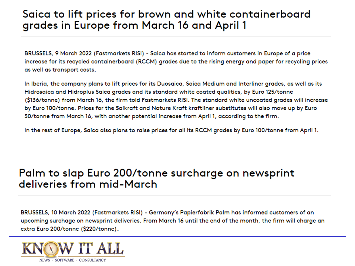#### Saica to lift prices for brown and white containerboard grades in Europe from March 16 and April 1

BRUSSELS, 9 March 2022 (Fastmarkets RISI) - Saica has started to inform customers in Europe of a price increase for its recycled containerboard (RCCM) grades due to the rising energy and paper for recycling prices as well as transport costs.

In Iberia, the company plans to lift prices for its Duosaica, Saica Medium and Interliner grades, as well as its Hidrosaica and Hidroplus Saica grades and its standard white coated qualities, by Euro 125/tonne (\$136/tonne) from March 16, the firm told Fastmarkets RISI. The standard white uncoated grades will increase by Euro 100/tonne. Prices for the Saikraft and Nature Kraft kraftliner substitutes will also move up by Euro 50/tonne from March 16, with another potential increase from April 1, according to the firm.

In the rest of Europe, Saica also plans to raise prices for all its RCCM grades by Euro 100/tonne from April 1.

#### Palm to slap Euro 200/tonne surcharge on newsprint deliveries from mid-March

BRUSSELS, 10 March 2022 (Fastmarkets RISI) - Germany's Papierfabrik Palm has informed customers of an upcoming surchage on newsprint deliveries. From March 16 until the end of the month, the firm will charge an extra Euro 200/tonne (\$220/tonne).

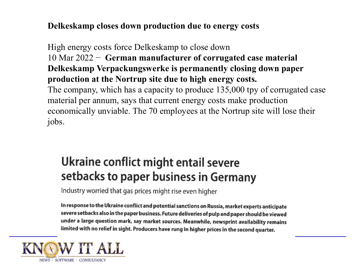#### **Delkeskamp closes down production due to energy costs**

High energy costs force Delkeskamp to close down 10 Mar 2022 − **German manufacturer of corrugated case material Delkeskamp Verpackungswerke is permanently closing down paper production at the Nortrup site due to high energy costs.**  The company, which has a capacity to produce 135,000 tpy of corrugated case material per annum, says that current energy costs make production economically unviable. The 70 employees at the Nortrup site will lose their jobs.

### Ukraine conflict might entail severe setbacks to paper business in Germany

Industry worried that gas prices might rise even higher

In response to the Ukraine conflict and potential sanctions on Russia, market experts anticipate severe setbacks also in the paper business. Future deliveries of pulp and paper should be viewed under a large question mark, say market sources. Meanwhile, newsprint availability remains limited with no relief in sight. Producers have rung in higher prices in the second quarter.